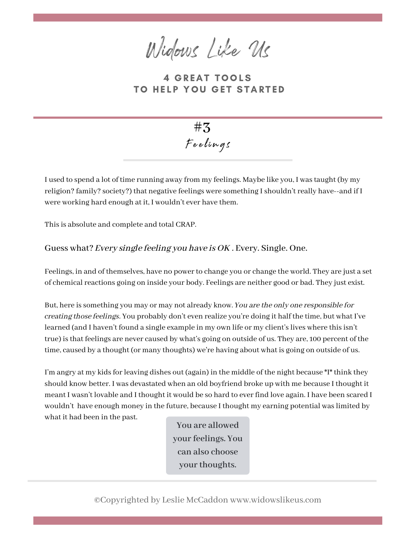Widows Like Us

**4 GREAT TOOLS** TO HELP YOU GET STARTED



I used to spend a lot of time running away from my feelings. Maybe like you, I was taught (by my religion? family? society?) that negative feelings were something I shouldn't really have--and if I were working hard enough at it, I wouldn't ever have them.

This is absolute and complete and total CRAP.

Guess what? Every single feeling you have is OK. Every. Single. One.

Feelings, in and of themselves, have no power to change you or change the world. They are just a set of chemical reactions going on inside your body. Feelings are neither good or bad. They just exist.

But, here is something you may or may not already know. You are the only one responsible for creating those feelings. You probably don't even realize you're doing it half the time, but what I've learned (and I haven't found a single example in my own life or my client's lives where this isn't true) is that feelings are never caused by what's going on outside of us. They are, 100 percent of the time, caused by a thought (or many thoughts) we're having about what is going on outside of us.

I'm angry at my kids for leaving dishes out (again) in the middle of the night because \*I\* think they should know better. I was devastated when an old boyfriend broke up with me because I thought it meant I wasn't lovable and I thought it would be so hard to ever find love again. I have been scared I wouldn't have enough money in the future, because I thought my earning potential was limited by what it had been in the past.

**You are allowed yourfeelings. You can also choose** your thoughts.

©Copyrighted by Leslie McCaddon www.widowslikeus.com